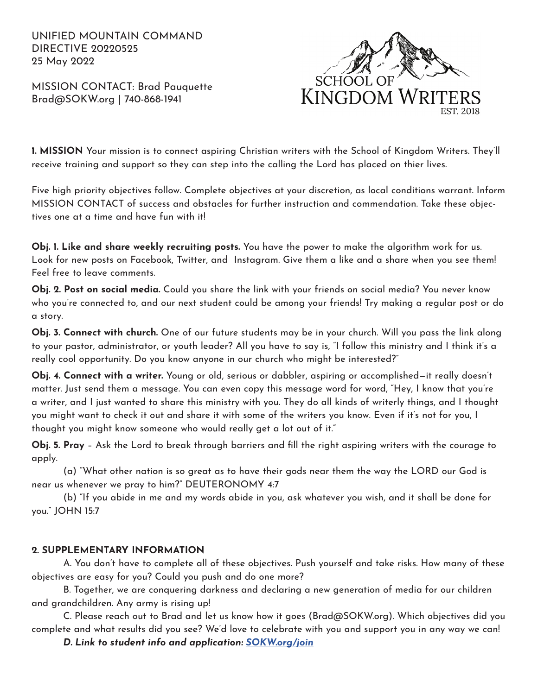UNIFIED MOUNTAIN COMMAND DIRECTIVE 20220525 25 May 2022

MISSION CONTACT: Brad Pauquette Brad@SOKW.org | 740-868-1941



**1. MISSION** Your mission is to connect aspiring Christian writers with the School of Kingdom Writers. They'll receive training and support so they can step into the calling the Lord has placed on thier lives.

Five high priority objectives follow. Complete objectives at your discretion, as local conditions warrant. Inform MISSION CONTACT of success and obstacles for further instruction and commendation. Take these objectives one at a time and have fun with it!

**Obj. 1. Like and share weekly recruiting posts.** You have the power to make the algorithm work for us. Look for new posts on Facebook, Twitter, and Instagram. Give them a like and a share when you see them! Feel free to leave comments.

**Obj. 2. Post on social media.** Could you share the link with your friends on social media? You never know who you're connected to, and our next student could be among your friends! Try making a regular post or do a story.

**Obj. 3. Connect with church.** One of our future students may be in your church. Will you pass the link along to your pastor, administrator, or youth leader? All you have to say is, "I follow this ministry and I think it's a really cool opportunity. Do you know anyone in our church who might be interested?"

**Obj. 4. Connect with a writer.** Young or old, serious or dabbler, aspiring or accomplished—it really doesn't matter. Just send them a message. You can even copy this message word for word, "Hey, I know that you're a writer, and I just wanted to share this ministry with you. They do all kinds of writerly things, and I thought you might want to check it out and share it with some of the writers you know. Even if it's not for you, I thought you might know someone who would really get a lot out of it."

**Obj. 5. Pray** – Ask the Lord to break through barriers and fill the right aspiring writers with the courage to apply.

(a) "What other nation is so great as to have their gods near them the way the LORD our God is near us whenever we pray to him?" DEUTERONOMY 4:7

(b) "If you abide in me and my words abide in you, ask whatever you wish, and it shall be done for you." JOHN 15:7

## **2. SUPPLEMENTARY INFORMATION**

A. You don't have to complete all of these objectives. Push yourself and take risks. How many of these objectives are easy for you? Could you push and do one more?

B. Together, we are conquering darkness and declaring a new generation of media for our children and grandchildren. Any army is rising up!

C. Please reach out to Brad and let us know how it goes (Brad@SOKW.org). Which objectives did you complete and what results did you see? We'd love to celebrate with you and support you in any way we can!

*D. Link to student info and application: SOKW.org/join*